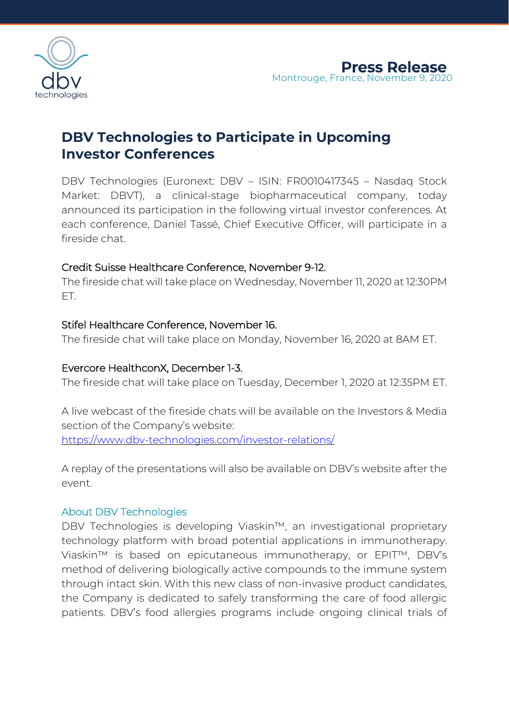

# **DBV Technologies to Participate in Upcoming Investor Conferences**

DBV Technologies (Euronext: DBV – ISIN: FR0010417345 – Nasdaq Stock Market: DBVT), a clinical-stage biopharmaceutical company, today announced its participation in the following virtual investor conferences. At each conference, Daniel Tassé, Chief Executive Officer, will participate in a fireside chat.

# Credit Suisse Healthcare Conference, November 9-12.

The fireside chat will take place on Wednesday, November 11, 2020 at 12:30PM ET.

# Stifel Healthcare Conference, November 16.

The fireside chat will take place on Monday, November 16, 2020 at 8AM ET.

### Evercore HealthconX, December 1-3.

The fireside chat will take place on Tuesday, December 1, 2020 at 12:35PM ET.

A live webcast of the fireside chats will be available on the Investors & Media section of the Company's website: <https://www.dbv-technologies.com/investor-relations/>

A replay of the presentations will also be available on DBV's website after the event.

### About DBV Technologies

DBV Technologies is developing Viaskin™, an investigational proprietary technology platform with broad potential applications in immunotherapy. Viaskin™ is based on epicutaneous immunotherapy, or EPIT™, DBV's method of delivering biologically active compounds to the immune system through intact skin. With this new class of non-invasive product candidates, the Company is dedicated to safely transforming the care of food allergic patients. DBV's food allergies programs include ongoing clinical trials of